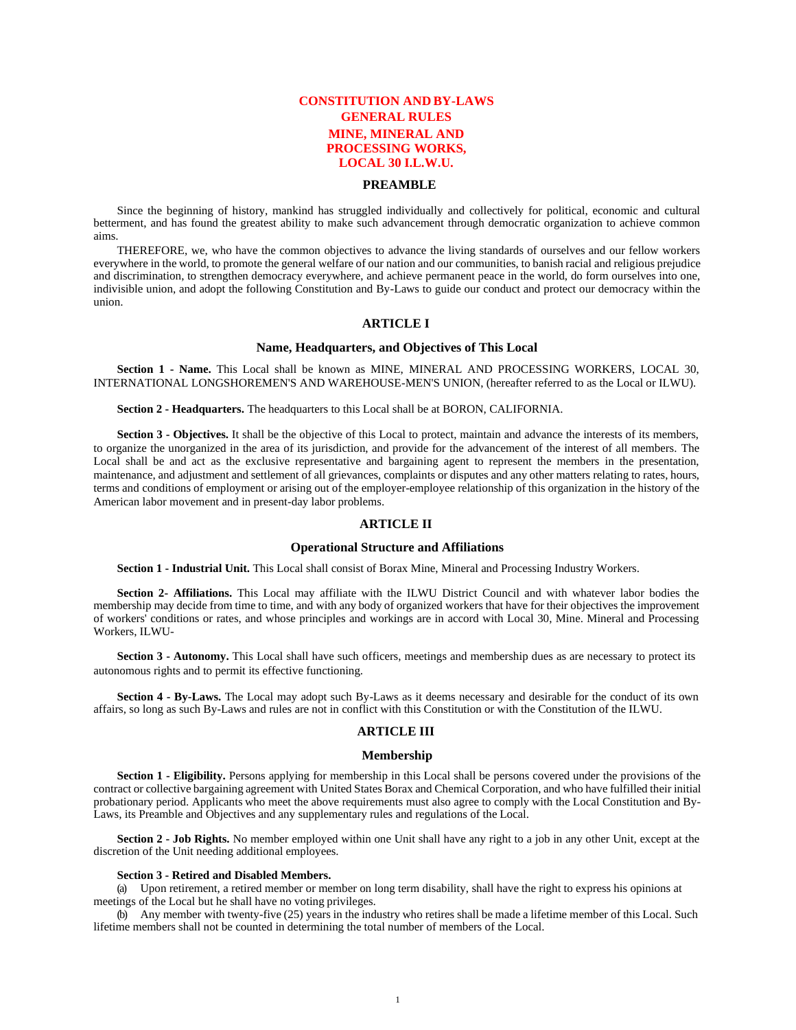# **CONSTITUTION AND BY-LAWS GENERAL RULES MINE, MINERAL AND PROCESSING WORKS, LOCAL 30 I.L.W.U.**

## **PREAMBLE**

Since the beginning of history, mankind has struggled individually and collectively for political, economic and cultural betterment, and has found the greatest ability to make such advancement through democratic organization to achieve common aims.

THEREFORE, we, who have the common objectives to advance the living standards of ourselves and our fellow workers everywhere in the world, to promote the general welfare of our nation and our communities, to banish racial and religious prejudice and discrimination, to strengthen democracy everywhere, and achieve permanent peace in the world, do form ourselves into one, indivisible union, and adopt the following Constitution and By-Laws to guide our conduct and protect our democracy within the union.

# **ARTICLE I**

## **Name, Headquarters, and Objectives of This Local**

**Section 1 - Name.** This Local shall be known as MINE, MINERAL AND PROCESSING WORKERS, LOCAL 30, INTERNATIONAL LONGSHOREMEN'S AND WAREHOUSE-MEN'S UNION, (hereafter referred to as the Local or ILWU).

**Section 2 - Headquarters.** The headquarters to this Local shall be at BORON, CALIFORNIA.

**Section 3 - Objectives.** It shall be the objective of this Local to protect, maintain and advance the interests of its members, to organize the unorganized in the area of its jurisdiction, and provide for the advancement of the interest of all members. The Local shall be and act as the exclusive representative and bargaining agent to represent the members in the presentation, maintenance, and adjustment and settlement of all grievances, complaints or disputes and any other matters relating to rates, hours, terms and conditions of employment or arising out of the employer-employee relationship of this organization in the history of the American labor movement and in present-day labor problems.

## **ARTICLE II**

#### **Operational Structure and Affiliations**

**Section 1 - Industrial Unit.** This Local shall consist of Borax Mine, Mineral and Processing Industry Workers.

**Section 2- Affiliations.** This Local may affiliate with the ILWU District Council and with whatever labor bodies the membership may decide from time to time, and with any body of organized workers that have for their objectives the improvement of workers' conditions or rates, and whose principles and workings are in accord with Local 30, Mine. Mineral and Processing Workers, ILWU-

**Section 3 - Autonomy.** This Local shall have such officers, meetings and membership dues as are necessary to protect its autonomous rights and to permit its effective functioning.

**Section 4 - By-Laws.** The Local may adopt such By-Laws as it deems necessary and desirable for the conduct of its own affairs, so long as such By-Laws and rules are not in conflict with this Constitution or with the Constitution of the ILWU.

## **ARTICLE III**

## **Membership**

**Section 1 - Eligibility.** Persons applying for membership in this Local shall be persons covered under the provisions of the contract or collective bargaining agreement with United States Borax and Chemical Corporation, and who have fulfilled their initial probationary period. Applicants who meet the above requirements must also agree to comply with the Local Constitution and By-Laws, its Preamble and Objectives and any supplementary rules and regulations of the Local.

**Section 2 - Job Rights.** No member employed within one Unit shall have any right to a job in any other Unit, except at the discretion of the Unit needing additional employees.

#### **Section 3 - Retired and Disabled Members.**

(a) Upon retirement, a retired member or member on long term disability, shall have the right to express his opinions at meetings of the Local but he shall have no voting privileges.

(b) Any member with twenty-five (25) years in the industry who retires shall be made a lifetime member of this Local. Such lifetime members shall not be counted in determining the total number of members of the Local.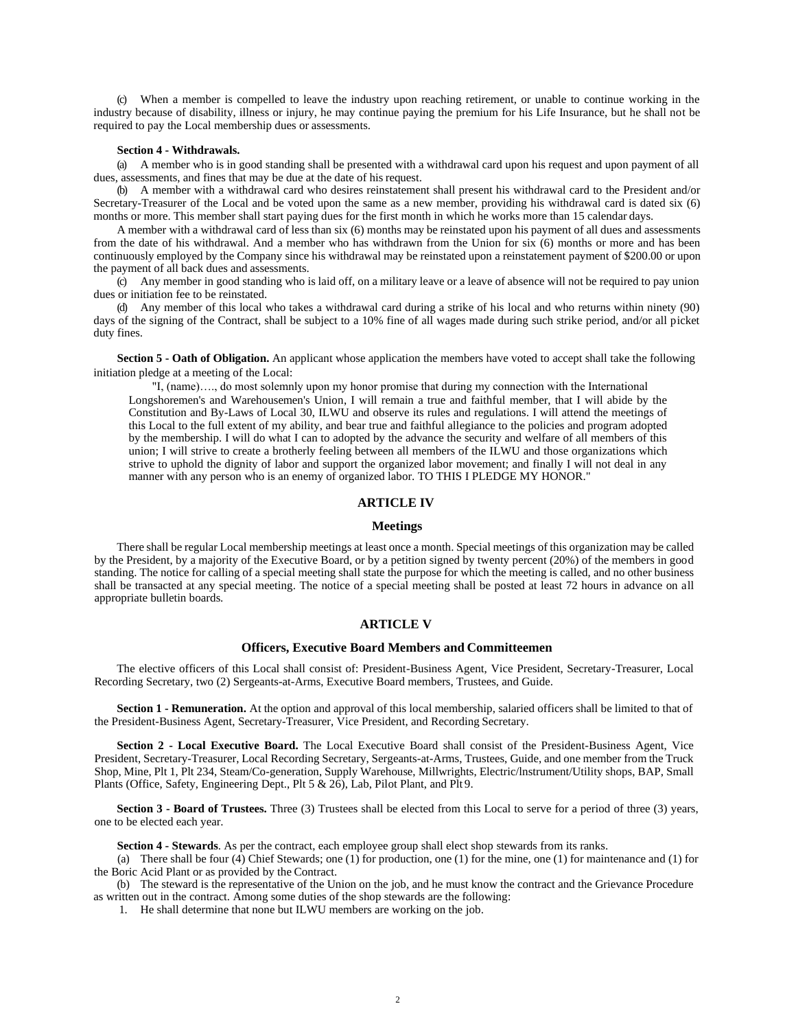(c) When a member is compelled to leave the industry upon reaching retirement, or unable to continue working in the industry because of disability, illness or injury, he may continue paying the premium for his Life Insurance, but he shall not be required to pay the Local membership dues or assessments.

#### **Section 4 - Withdrawals.**

(a) A member who is in good standing shall be presented with a withdrawal card upon his request and upon payment of all dues, assessments, and fines that may be due at the date of his request.

(b) A member with a withdrawal card who desires reinstatement shall present his withdrawal card to the President and/or Secretary-Treasurer of the Local and be voted upon the same as a new member, providing his withdrawal card is dated six (6) months or more. This member shall start paying dues for the first month in which he works more than 15 calendar days.

A member with a withdrawal card of less than six (6) months may be reinstated upon his payment of all dues and assessments from the date of his withdrawal. And a member who has withdrawn from the Union for six (6) months or more and has been continuously employed by the Company since his withdrawal may be reinstated upon a reinstatement payment of \$200.00 or upon the payment of all back dues and assessments.

(c) Any member in good standing who is laid off, on a military leave or a leave of absence will not be required to pay union dues or initiation fee to be reinstated.

(d) Any member of this local who takes a withdrawal card during a strike of his local and who returns within ninety (90) days of the signing of the Contract, shall be subject to a 10% fine of all wages made during such strike period, and/or all picket duty fines.

**Section 5 - Oath of Obligation.** An applicant whose application the members have voted to accept shall take the following initiation pledge at a meeting of the Local:

"I, (name)…., do most solemnly upon my honor promise that during my connection with the International Longshoremen's and Warehousemen's Union, I will remain a true and faithful member, that I will abide by the Constitution and By-Laws of Local 30, ILWU and observe its rules and regulations. I will attend the meetings of this Local to the full extent of my ability, and bear true and faithful allegiance to the policies and program adopted by the membership. I will do what I can to adopted by the advance the security and welfare of all members of this union; I will strive to create a brotherly feeling between all members of the ILWU and those organizations which strive to uphold the dignity of labor and support the organized labor movement; and finally I will not deal in any manner with any person who is an enemy of organized labor. TO THIS I PLEDGE MY HONOR."

# **ARTICLE IV**

#### **Meetings**

There shall be regular Local membership meetings at least once a month. Special meetings of this organization may be called by the President, by a majority of the Executive Board, or by a petition signed by twenty percent (20%) of the members in good standing. The notice for calling of a special meeting shall state the purpose for which the meeting is called, and no other business shall be transacted at any special meeting. The notice of a special meeting shall be posted at least 72 hours in advance on all appropriate bulletin boards.

### **ARTICLE V**

#### **Officers, Executive Board Members and Committeemen**

The elective officers of this Local shall consist of: President-Business Agent, Vice President, Secretary-Treasurer, Local Recording Secretary, two (2) Sergeants-at-Arms, Executive Board members, Trustees, and Guide.

**Section 1 - Remuneration.** At the option and approval of this local membership, salaried officers shall be limited to that of the President-Business Agent, Secretary-Treasurer, Vice President, and Recording Secretary.

**Section 2 - Local Executive Board.** The Local Executive Board shall consist of the President-Business Agent, Vice President, Secretary-Treasurer, Local Recording Secretary, Sergeants-at-Arms, Trustees, Guide, and one member from the Truck Shop, Mine, Plt 1, Plt 234, Steam/Co-generation, Supply Warehouse, Millwrights, Electric/lnstrument/Utility shops, BAP, Small Plants (Office, Safety, Engineering Dept., Plt 5 & 26), Lab, Pilot Plant, and Plt 9.

**Section 3 - Board of Trustees.** Three (3) Trustees shall be elected from this Local to serve for a period of three (3) years, one to be elected each year.

**Section 4 - Stewards**. As per the contract, each employee group shall elect shop stewards from its ranks.

(a) There shall be four (4) Chief Stewards; one (1) for production, one (1) for the mine, one (1) for maintenance and (1) for the Boric Acid Plant or as provided by the Contract.

(b) The steward is the representative of the Union on the job, and he must know the contract and the Grievance Procedure as written out in the contract. Among some duties of the shop stewards are the following:

1. He shall determine that none but ILWU members are working on the job.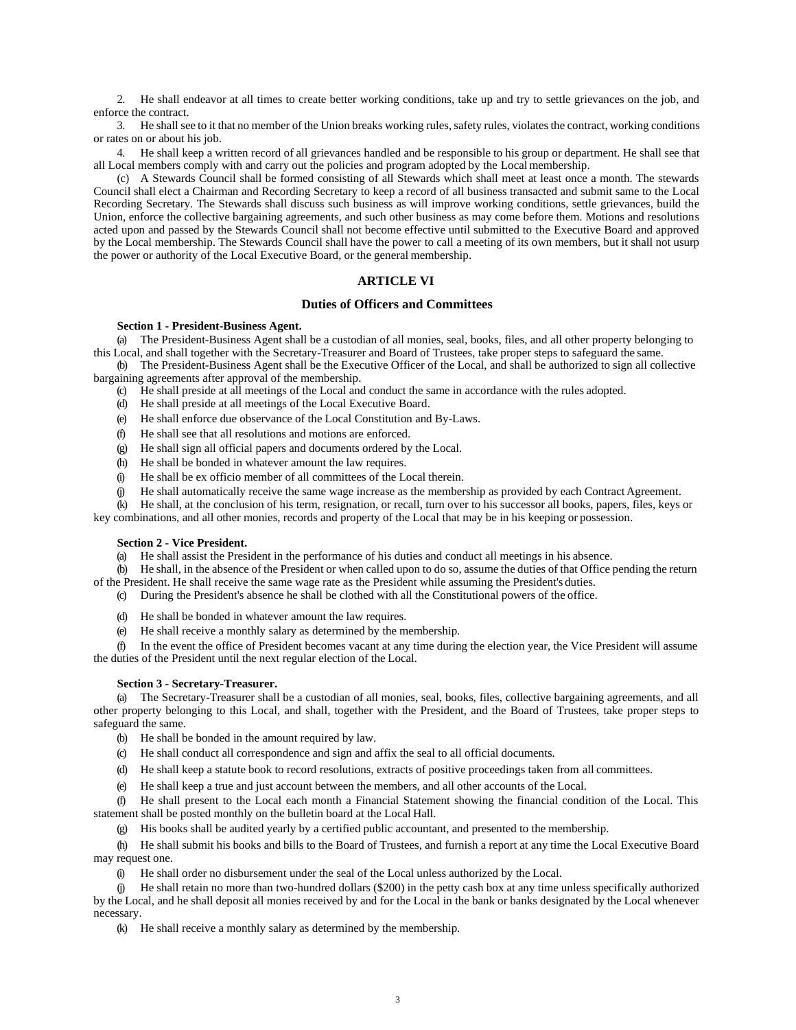2. He shall endeavor at all times to create better working conditions, take up and try to settle grievances on the job, and enforce the contract.

3. He shall see to it that no member of the Union breaks working rules, safety rules, violates the contract, working conditions or rates on or about his job.

4. He shall keep a written record of all grievances handled and be responsible to his group or department. He shall see that all Local members comply with and carry out the policies and program adopted by the Local membership.

(c) A Stewards Council shall be formed consisting of all Stewards which shall meet at least once a month. The stewards Council shall elect a Chairman and Recording Secretary to keep a record of all business transacted and submit same to the Local Recording Secretary. The Stewards shall discuss such business as will improve working conditions, settle grievances, build the Union, enforce the collective bargaining agreements, and such other business as may come before them. Motions and resolutions acted upon and passed by the Stewards Council shall not become effective until submitted to the Executive Board and approved by the Local membership. The Stewards Council shall have the power to call a meeting of its own members, but it shall not usurp the power or authority of the Local Executive Board, or the general membership.

## **ARTICLE VI**

## **Duties of Officers and Committees**

### **Section 1 - President-Business Agent.**

(a) The President-Business Agent shall be a custodian of all monies, seal, books, files, and all other property belonging to this Local, and shall together with the Secretary-Treasurer and Board of Trustees, take proper steps to safeguard the same.

(b) The President-Business Agent shall be the Executive Officer of the Local, and shall be authorized to sign all collective bargaining agreements after approval of the membership.

(c) He shall preside at all meetings of the Local and conduct the same in accordance with the rules adopted.

- (d) He shall preside at all meetings of the Local Executive Board.
- (e) He shall enforce due observance of the Local Constitution and By-Laws.
- (f) He shall see that all resolutions and motions are enforced.
- (g) He shall sign all official papers and documents ordered by the Local.
- (h) He shall be bonded in whatever amount the law requires.
- (i) He shall be ex officio member of all committees of the Local therein.
- (j) He shall automatically receive the same wage increase as the membership as provided by each Contract Agreement.

(k) He shall, at the conclusion of his term, resignation, or recall, turn over to his successor all books, papers, files, keys or

key combinations, and all other monies, records and property of the Local that may be in his keeping or possession.

## **Section 2 - Vice President.**

(a) He shall assist the President in the performance of his duties and conduct all meetings in his absence.

(b) He shall, in the absence of the President or when called upon to do so, assume the duties of that Office pending the return

of the President. He shall receive the same wage rate as the President while assuming the President's duties. (c) During the President's absence he shall be clothed with all the Constitutional powers of the office.

- (d) He shall be bonded in whatever amount the law requires.
- (e) He shall receive a monthly salary as determined by the membership.

(f) In the event the office of President becomes vacant at any time during the election year, the Vice President will assume the duties of the President until the next regular election of the Local.

## **Section 3 - Secretary-Treasurer.**

(a) The Secretary-Treasurer shall be a custodian of all monies, seal, books, files, collective bargaining agreements, and all other property belonging to this Local, and shall, together with the President, and the Board of Trustees, take proper steps to safeguard the same.

- (b) He shall be bonded in the amount required by law.
- (c) He shall conduct all correspondence and sign and affix the seal to all official documents.
- (d) He shall keep a statute book to record resolutions, extracts of positive proceedings taken from all committees.
- (e) He shall keep a true and just account between the members, and all other accounts of the Local.

(f) He shall present to the Local each month a Financial Statement showing the financial condition of the Local. This statement shall be posted monthly on the bulletin board at the Local Hall.

(g) His books shall be audited yearly by a certified public accountant, and presented to the membership.

(h) He shall submit his books and bills to the Board of Trustees, and furnish a report at any time the Local Executive Board may request one.

(i) He shall order no disbursement under the seal of the Local unless authorized by the Local.

(j) He shall retain no more than two-hundred dollars (\$200) in the petty cash box at any time unless specifically authorized by the Local, and he shall deposit all monies received by and for the Local in the bank or banks designated by the Local whenever necessary.

(k) He shall receive a monthly salary as determined by the membership.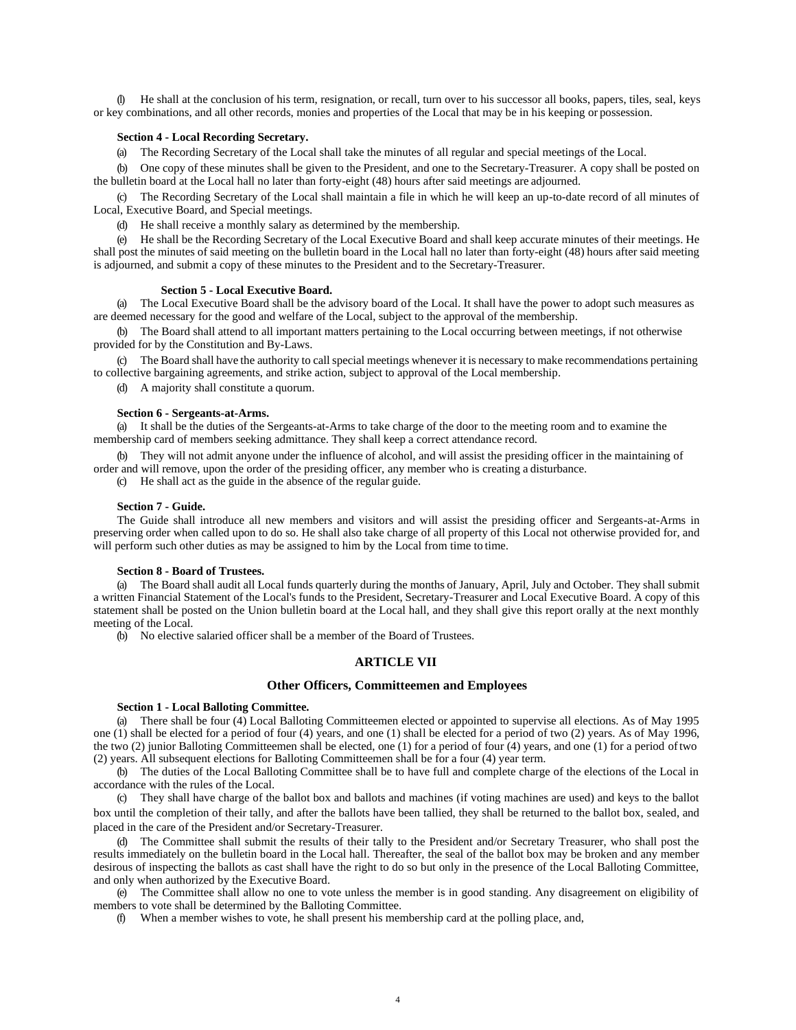(l) He shall at the conclusion of his term, resignation, or recall, turn over to his successor all books, papers, tiles, seal, keys or key combinations, and all other records, monies and properties of the Local that may be in his keeping or possession.

## **Section 4 - Local Recording Secretary.**

(a) The Recording Secretary of the Local shall take the minutes of all regular and special meetings of the Local.

(b) One copy of these minutes shall be given to the President, and one to the Secretary-Treasurer. A copy shall be posted on the bulletin board at the Local hall no later than forty-eight (48) hours after said meetings are adjourned.

(c) The Recording Secretary of the Local shall maintain a file in which he will keep an up-to-date record of all minutes of Local, Executive Board, and Special meetings.

(d) He shall receive a monthly salary as determined by the membership.

(e) He shall be the Recording Secretary of the Local Executive Board and shall keep accurate minutes of their meetings. He shall post the minutes of said meeting on the bulletin board in the Local hall no later than forty-eight (48) hours after said meeting is adjourned, and submit a copy of these minutes to the President and to the Secretary-Treasurer.

#### **Section 5 - Local Executive Board.**

(a) The Local Executive Board shall be the advisory board of the Local. It shall have the power to adopt such measures as are deemed necessary for the good and welfare of the Local, subject to the approval of the membership.

(b) The Board shall attend to all important matters pertaining to the Local occurring between meetings, if not otherwise provided for by the Constitution and By-Laws.

(c) The Board shall have the authority to callspecial meetings whenever it is necessary to make recommendations pertaining to collective bargaining agreements, and strike action, subject to approval of the Local membership.

(d) A majority shall constitute a quorum.

#### **Section 6 - Sergeants-at-Arms.**

(a) It shall be the duties of the Sergeants-at-Arms to take charge of the door to the meeting room and to examine the membership card of members seeking admittance. They shall keep a correct attendance record.

(b) They will not admit anyone under the influence of alcohol, and will assist the presiding officer in the maintaining of order and will remove, upon the order of the presiding officer, any member who is creating a disturbance.

(c) He shall act as the guide in the absence of the regular guide.

#### **Section 7 - Guide.**

The Guide shall introduce all new members and visitors and will assist the presiding officer and Sergeants-at-Arms in preserving order when called upon to do so. He shall also take charge of all property of this Local not otherwise provided for, and will perform such other duties as may be assigned to him by the Local from time to time.

#### **Section 8 - Board of Trustees.**

(a) The Board shall audit all Local funds quarterly during the months of January, April, July and October. They shall submit a written Financial Statement of the Local's funds to the President, Secretary-Treasurer and Local Executive Board. A copy of this statement shall be posted on the Union bulletin board at the Local hall, and they shall give this report orally at the next monthly meeting of the Local.

(b) No elective salaried officer shall be a member of the Board of Trustees.

# **ARTICLE VII**

## **Other Officers, Committeemen and Employees**

# **Section 1 - Local Balloting Committee.**

(a) There shall be four (4) Local Balloting Committeemen elected or appointed to supervise all elections. As of May 1995 one (1) shall be elected for a period of four (4) years, and one (1) shall be elected for a period of two (2) years. As of May 1996, the two (2) junior Balloting Committeemen shall be elected, one (1) for a period of four (4) years, and one (1) for a period oftwo (2) years. All subsequent elections for Balloting Committeemen shall be for a four (4) year term.

(b) The duties of the Local Balloting Committee shall be to have full and complete charge of the elections of the Local in accordance with the rules of the Local.

(c) They shall have charge of the ballot box and ballots and machines (if voting machines are used) and keys to the ballot box until the completion of their tally, and after the ballots have been tallied, they shall be returned to the ballot box, sealed, and placed in the care of the President and/or Secretary-Treasurer.

(d) The Committee shall submit the results of their tally to the President and/or Secretary Treasurer, who shall post the results immediately on the bulletin board in the Local hall. Thereafter, the seal of the ballot box may be broken and any member desirous of inspecting the ballots as cast shall have the right to do so but only in the presence of the Local Balloting Committee, and only when authorized by the Executive Board.

(e) The Committee shall allow no one to vote unless the member is in good standing. Any disagreement on eligibility of members to vote shall be determined by the Balloting Committee.

(f) When a member wishes to vote, he shall present his membership card at the polling place, and,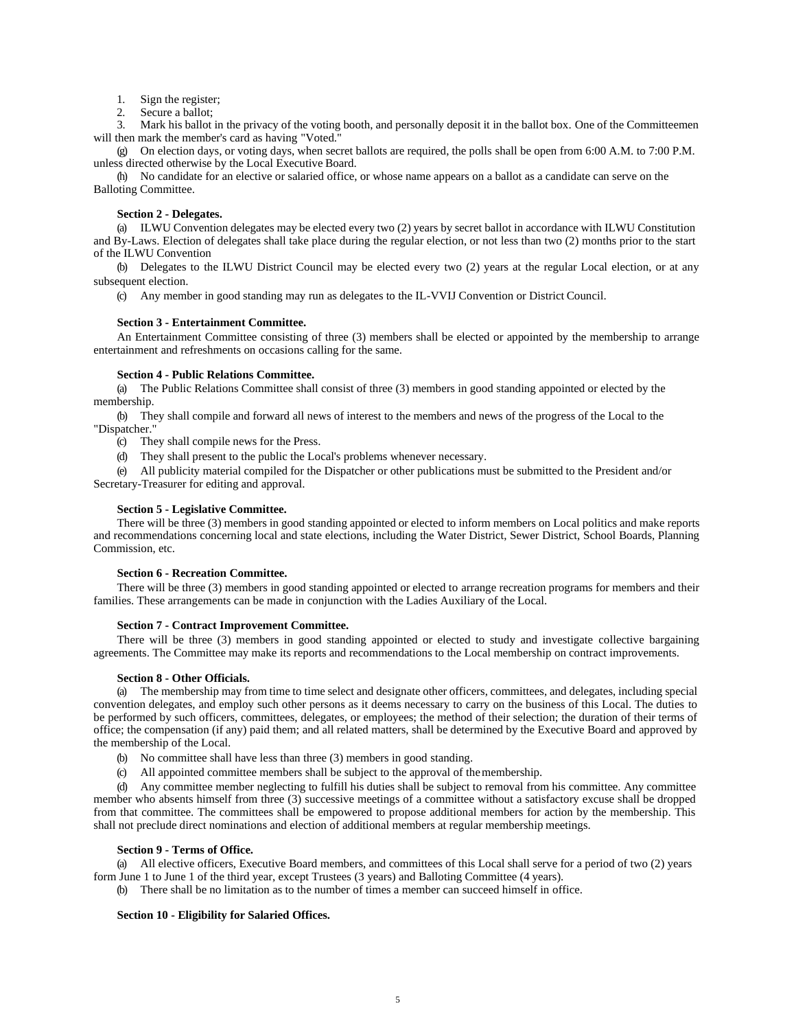1. Sign the register;

2. Secure a ballot;

3. Mark his ballot in the privacy of the voting booth, and personally deposit it in the ballot box. One of the Committeemen will then mark the member's card as having "Voted."

(g) On election days, or voting days, when secret ballots are required, the polls shall be open from 6:00 A.M. to 7:00 P.M. unless directed otherwise by the Local Executive Board.

(h) No candidate for an elective or salaried office, or whose name appears on a ballot as a candidate can serve on the Balloting Committee.

## **Section 2 - Delegates.**

(a) ILWU Convention delegates may be elected every two (2) years by secret ballot in accordance with ILWU Constitution and By-Laws. Election of delegates shall take place during the regular election, or not less than two (2) months prior to the start of the ILWU Convention

(b) Delegates to the ILWU District Council may be elected every two (2) years at the regular Local election, or at any subsequent election.

(c) Any member in good standing may run as delegates to the IL-VVIJ Convention or District Council.

## **Section 3 - Entertainment Committee.**

An Entertainment Committee consisting of three (3) members shall be elected or appointed by the membership to arrange entertainment and refreshments on occasions calling for the same.

## **Section 4 - Public Relations Committee.**

(a) The Public Relations Committee shall consist of three (3) members in good standing appointed or elected by the membership.

(b) They shall compile and forward all news of interest to the members and news of the progress of the Local to the "Dispatcher."

(c) They shall compile news for the Press.

(d) They shall present to the public the Local's problems whenever necessary.

(e) All publicity material compiled for the Dispatcher or other publications must be submitted to the President and/or Secretary-Treasurer for editing and approval.

## **Section 5 - Legislative Committee.**

There will be three (3) members in good standing appointed or elected to inform members on Local politics and make reports and recommendations concerning local and state elections, including the Water District, Sewer District, School Boards, Planning Commission, etc.

#### **Section 6 - Recreation Committee.**

There will be three (3) members in good standing appointed or elected to arrange recreation programs for members and their families. These arrangements can be made in conjunction with the Ladies Auxiliary of the Local.

#### **Section 7 - Contract Improvement Committee.**

There will be three (3) members in good standing appointed or elected to study and investigate collective bargaining agreements. The Committee may make its reports and recommendations to the Local membership on contract improvements.

## **Section 8 - Other Officials.**

(a) The membership may from time to time select and designate other officers, committees, and delegates, including special convention delegates, and employ such other persons as it deems necessary to carry on the business of this Local. The duties to be performed by such officers, committees, delegates, or employees; the method of their selection; the duration of their terms of office; the compensation (if any) paid them; and all related matters, shall be determined by the Executive Board and approved by the membership of the Local.

- (b) No committee shall have less than three (3) members in good standing.
- (c) All appointed committee members shall be subject to the approval of themembership.

(d) Any committee member neglecting to fulfill his duties shall be subject to removal from his committee. Any committee member who absents himself from three (3) successive meetings of a committee without a satisfactory excuse shall be dropped from that committee. The committees shall be empowered to propose additional members for action by the membership. This shall not preclude direct nominations and election of additional members at regular membership meetings.

#### **Section 9 - Terms of Office.**

(a) All elective officers, Executive Board members, and committees of this Local shall serve for a period of two (2) years form June 1 to June 1 of the third year, except Trustees (3 years) and Balloting Committee (4 years).

(b) There shall be no limitation as to the number of times a member can succeed himself in office.

## **Section 10 - Eligibility for Salaried Offices.**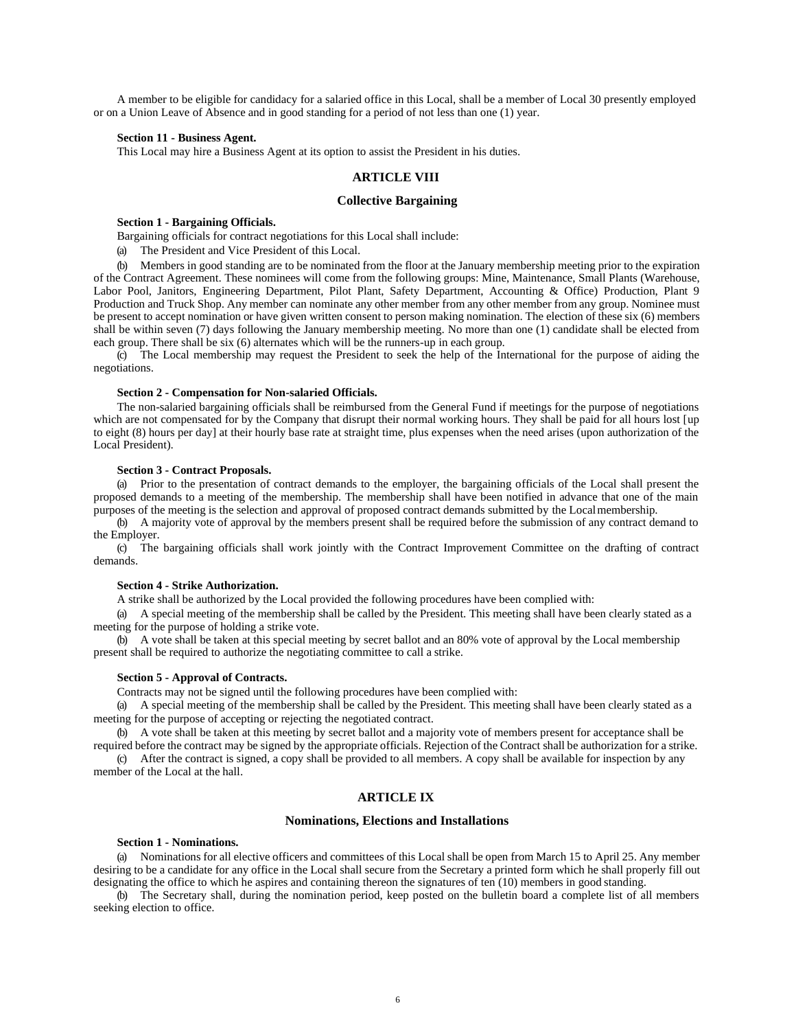A member to be eligible for candidacy for a salaried office in this Local, shall be a member of Local 30 presently employed or on a Union Leave of Absence and in good standing for a period of not less than one (1) year.

#### **Section 11 - Business Agent.**

This Local may hire a Business Agent at its option to assist the President in his duties.

# **ARTICLE VIII**

# **Collective Bargaining**

#### **Section 1 - Bargaining Officials.**

Bargaining officials for contract negotiations for this Local shall include:

(a) The President and Vice President of this Local.

(b) Members in good standing are to be nominated from the floor at the January membership meeting prior to the expiration of the Contract Agreement. These nominees will come from the following groups: Mine, Maintenance, Small Plants (Warehouse, Labor Pool, Janitors, Engineering Department, Pilot Plant, Safety Department, Accounting & Office) Production, Plant 9 Production and Truck Shop. Any member can nominate any other member from any other member from any group. Nominee must be present to accept nomination or have given written consent to person making nomination. The election of these six (6) members shall be within seven (7) days following the January membership meeting. No more than one (1) candidate shall be elected from each group. There shall be six (6) alternates which will be the runners-up in each group.

(c) The Local membership may request the President to seek the help of the International for the purpose of aiding the negotiations.

## **Section 2 - Compensation for Non-salaried Officials.**

The non-salaried bargaining officials shall be reimbursed from the General Fund if meetings for the purpose of negotiations which are not compensated for by the Company that disrupt their normal working hours. They shall be paid for all hours lost [up to eight (8) hours per day] at their hourly base rate at straight time, plus expenses when the need arises (upon authorization of the Local President).

## **Section 3 - Contract Proposals.**

(a) Prior to the presentation of contract demands to the employer, the bargaining officials of the Local shall present the proposed demands to a meeting of the membership. The membership shall have been notified in advance that one of the main purposes of the meeting is the selection and approval of proposed contract demands submitted by the Localmembership.

(b) A majority vote of approval by the members present shall be required before the submission of any contract demand to the Employer.

(c) The bargaining officials shall work jointly with the Contract Improvement Committee on the drafting of contract demands.

#### **Section 4 - Strike Authorization.**

A strike shall be authorized by the Local provided the following procedures have been complied with:

(a) A special meeting of the membership shall be called by the President. This meeting shall have been clearly stated as a meeting for the purpose of holding a strike vote.

(b) A vote shall be taken at this special meeting by secret ballot and an 80% vote of approval by the Local membership present shall be required to authorize the negotiating committee to call a strike.

# **Section 5 - Approval of Contracts.**

Contracts may not be signed until the following procedures have been complied with:

(a) A special meeting of the membership shall be called by the President. This meeting shall have been clearly stated as a meeting for the purpose of accepting or rejecting the negotiated contract.

(b) A vote shall be taken at this meeting by secret ballot and a majority vote of members present for acceptance shall be required before the contract may be signed by the appropriate officials. Rejection of the Contract shall be authorization for a strike.

(c) After the contract is signed, a copy shall be provided to all members. A copy shall be available for inspection by any member of the Local at the hall.

## **ARTICLE IX**

## **Nominations, Elections and Installations**

## **Section 1 - Nominations.**

(a) Nominations for all elective officers and committees of this Local shall be open from March 15 to April 25. Any member desiring to be a candidate for any office in the Local shall secure from the Secretary a printed form which he shall properly fill out designating the office to which he aspires and containing thereon the signatures of ten (10) members in good standing.

(b) The Secretary shall, during the nomination period, keep posted on the bulletin board a complete list of all members seeking election to office.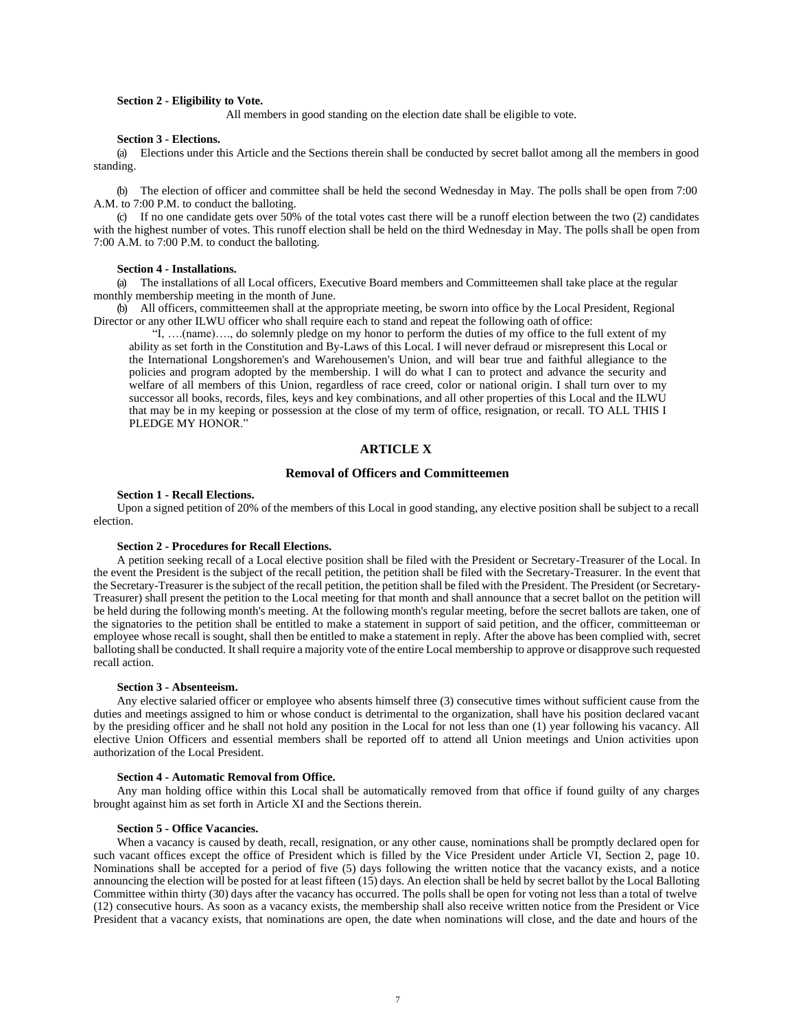## **Section 2 - Eligibility to Vote.**

All members in good standing on the election date shall be eligible to vote.

#### **Section 3 - Elections.**

(a) Elections under this Article and the Sections therein shall be conducted by secret ballot among all the members in good standing.

(b) The election of officer and committee shall be held the second Wednesday in May. The polls shall be open from 7:00 A.M. to 7:00 P.M. to conduct the balloting.

(c) If no one candidate gets over 50% of the total votes cast there will be a runoff election between the two (2) candidates with the highest number of votes. This runoff election shall be held on the third Wednesday in May. The polls shall be open from 7:00 A.M. to 7:00 P.M. to conduct the balloting.

#### **Section 4 - Installations.**

(a) The installations of all Local officers, Executive Board members and Committeemen shall take place at the regular monthly membership meeting in the month of June.

(b) All officers, committeemen shall at the appropriate meeting, be sworn into office by the Local President, Regional Director or any other ILWU officer who shall require each to stand and repeat the following oath of office:

"I, ….(name)…., do solemnly pledge on my honor to perform the duties of my office to the full extent of my ability as set forth in the Constitution and By-Laws of this Local. I will never defraud or misrepresent this Local or the International Longshoremen's and Warehousemen's Union, and will bear true and faithful allegiance to the policies and program adopted by the membership. I will do what I can to protect and advance the security and welfare of all members of this Union, regardless of race creed, color or national origin. I shall turn over to my successor all books, records, files, keys and key combinations, and all other properties of this Local and the ILWU that may be in my keeping or possession at the close of my term of office, resignation, or recall. TO ALL THIS I PLEDGE MY HONOR."

## **ARTICLE X**

# **Removal of Officers and Committeemen**

#### **Section 1 - Recall Elections.**

Upon a signed petition of 20% of the members of this Local in good standing, any elective position shall be subject to a recall election.

#### **Section 2 - Procedures for Recall Elections.**

A petition seeking recall of a Local elective position shall be filed with the President or Secretary-Treasurer of the Local. In the event the President is the subject of the recall petition, the petition shall be filed with the Secretary-Treasurer. In the event that the Secretary-Treasurer is the subject of the recall petition, the petition shall be filed with the President. The President (or Secretary-Treasurer) shall present the petition to the Local meeting for that month and shall announce that a secret ballot on the petition will be held during the following month's meeting. At the following month's regular meeting, before the secret ballots are taken, one of the signatories to the petition shall be entitled to make a statement in support of said petition, and the officer, committeeman or employee whose recall is sought, shall then be entitled to make a statement in reply. After the above has been complied with, secret balloting shall be conducted. Itshall require a majority vote of the entire Local membership to approve or disapprove such requested recall action.

#### **Section 3 - Absenteeism.**

Any elective salaried officer or employee who absents himself three (3) consecutive times without sufficient cause from the duties and meetings assigned to him or whose conduct is detrimental to the organization, shall have his position declared vacant by the presiding officer and he shall not hold any position in the Local for not less than one (1) year following his vacancy. All elective Union Officers and essential members shall be reported off to attend all Union meetings and Union activities upon authorization of the Local President.

## **Section 4 - Automatic Removal from Office.**

Any man holding office within this Local shall be automatically removed from that office if found guilty of any charges brought against him as set forth in Article XI and the Sections therein.

#### **Section 5 - Office Vacancies.**

When a vacancy is caused by death, recall, resignation, or any other cause, nominations shall be promptly declared open for such vacant offices except the office of President which is filled by the Vice President under Article VI, Section 2, page 10. Nominations shall be accepted for a period of five (5) days following the written notice that the vacancy exists, and a notice announcing the election will be posted for at least fifteen (15) days. An election shall be held by secret ballot by the Local Balloting Committee within thirty (30) days after the vacancy has occurred. The polls shall be open for voting not less than a total of twelve (12) consecutive hours. As soon as a vacancy exists, the membership shall also receive written notice from the President or Vice President that a vacancy exists, that nominations are open, the date when nominations will close, and the date and hours of the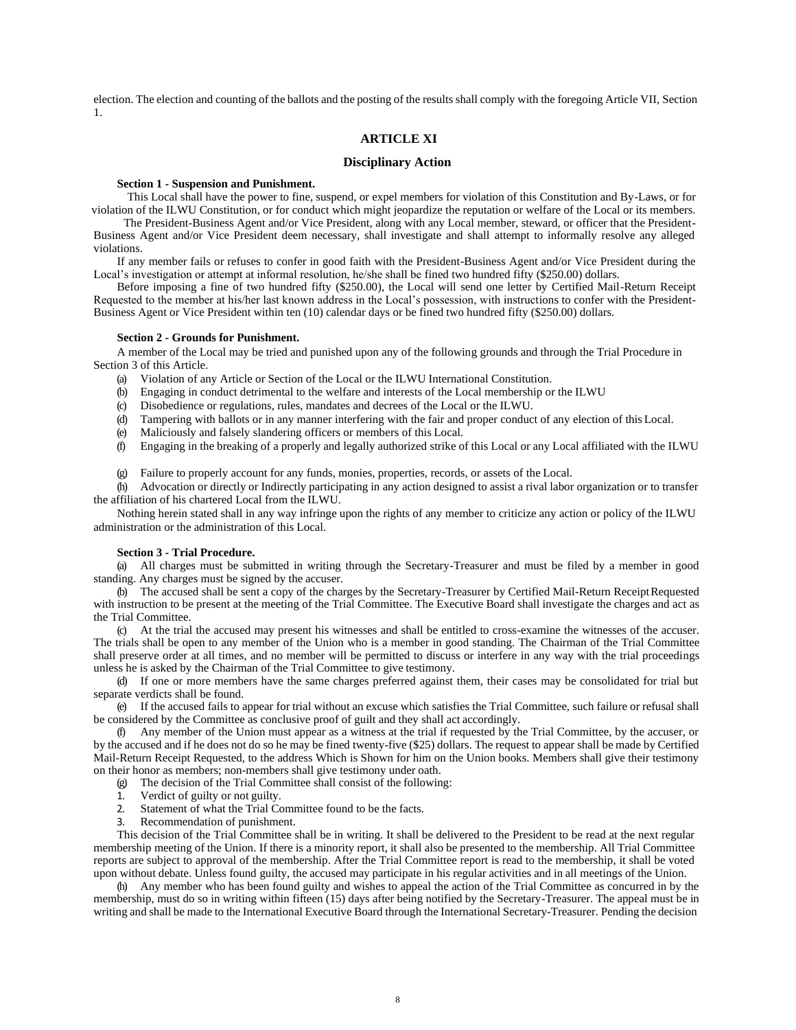election. The election and counting of the ballots and the posting of the results shall comply with the foregoing Article VII, Section 1.

# **ARTICLE XI**

# **Disciplinary Action**

#### **Section 1 - Suspension and Punishment.**

This Local shall have the power to fine, suspend, or expel members for violation of this Constitution and By-Laws, or for violation of the ILWU Constitution, or for conduct which might jeopardize the reputation or welfare of the Local or its members.

The President-Business Agent and/or Vice President, along with any Local member, steward, or officer that the President-Business Agent and/or Vice President deem necessary, shall investigate and shall attempt to informally resolve any alleged violations.

If any member fails or refuses to confer in good faith with the President-Business Agent and/or Vice President during the Local's investigation or attempt at informal resolution, he/she shall be fined two hundred fifty (\$250.00) dollars.

Before imposing a fine of two hundred fifty (\$250.00), the Local will send one letter by Certified Mail-Return Receipt Requested to the member at his/her last known address in the Local's possession, with instructions to confer with the President-Business Agent or Vice President within ten (10) calendar days or be fined two hundred fifty (\$250.00) dollars.

#### **Section 2 - Grounds for Punishment.**

A member of the Local may be tried and punished upon any of the following grounds and through the Trial Procedure in Section 3 of this Article.

- (a) Violation of any Article or Section of the Local or the ILWU International Constitution.
- (b) Engaging in conduct detrimental to the welfare and interests of the Local membership or the ILWU
- (c) Disobedience or regulations, rules, mandates and decrees of the Local or the ILWU.
- (d) Tampering with ballots or in any manner interfering with the fair and proper conduct of any election of this Local.
- (e) Maliciously and falsely slandering officers or members of this Local.
- (f) Engaging in the breaking of a properly and legally authorized strike of this Local or any Local affiliated with the ILWU
- (g) Failure to properly account for any funds, monies, properties, records, or assets of the Local.

(h) Advocation or directly or Indirectly participating in any action designed to assist a rival labor organization or to transfer the affiliation of his chartered Local from the ILWU.

Nothing herein stated shall in any way infringe upon the rights of any member to criticize any action or policy of the ILWU administration or the administration of this Local.

#### **Section 3 - Trial Procedure.**

(a) All charges must be submitted in writing through the Secretary-Treasurer and must be filed by a member in good standing. Any charges must be signed by the accuser.

(b) The accused shall be sent a copy of the charges by the Secretary-Treasurer by Certified Mail-Return ReceiptRequested with instruction to be present at the meeting of the Trial Committee. The Executive Board shall investigate the charges and act as the Trial Committee.

(c) At the trial the accused may present his witnesses and shall be entitled to cross-examine the witnesses of the accuser. The trials shall be open to any member of the Union who is a member in good standing. The Chairman of the Trial Committee shall preserve order at all times, and no member will be permitted to discuss or interfere in any way with the trial proceedings unless he is asked by the Chairman of the Trial Committee to give testimony.

(d) If one or more members have the same charges preferred against them, their cases may be consolidated for trial but separate verdicts shall be found.

(e) If the accused fails to appear for trial without an excuse which satisfies the Trial Committee, such failure or refusal shall be considered by the Committee as conclusive proof of guilt and they shall act accordingly.

(f) Any member of the Union must appear as a witness at the trial if requested by the Trial Committee, by the accuser, or by the accused and if he does not do so he may be fined twenty-five (\$25) dollars. The request to appear shall be made by Certified Mail-Return Receipt Requested, to the address Which is Shown for him on the Union books. Members shall give their testimony on their honor as members; non-members shall give testimony under oath.

- (g) The decision of the Trial Committee shall consist of the following:
- 1. Verdict of guilty or not guilty.
- 2. Statement of what the Trial Committee found to be the facts.
- 3. Recommendation of punishment.

This decision of the Trial Committee shall be in writing. It shall be delivered to the President to be read at the next regular membership meeting of the Union. If there is a minority report, it shall also be presented to the membership. All Trial Committee reports are subject to approval of the membership. After the Trial Committee report is read to the membership, it shall be voted upon without debate. Unless found guilty, the accused may participate in his regular activities and in all meetings of the Union.

(h) Any member who has been found guilty and wishes to appeal the action of the Trial Committee as concurred in by the membership, must do so in writing within fifteen (15) days after being notified by the Secretary-Treasurer. The appeal must be in writing and shall be made to the International Executive Board through the International Secretary-Treasurer. Pending the decision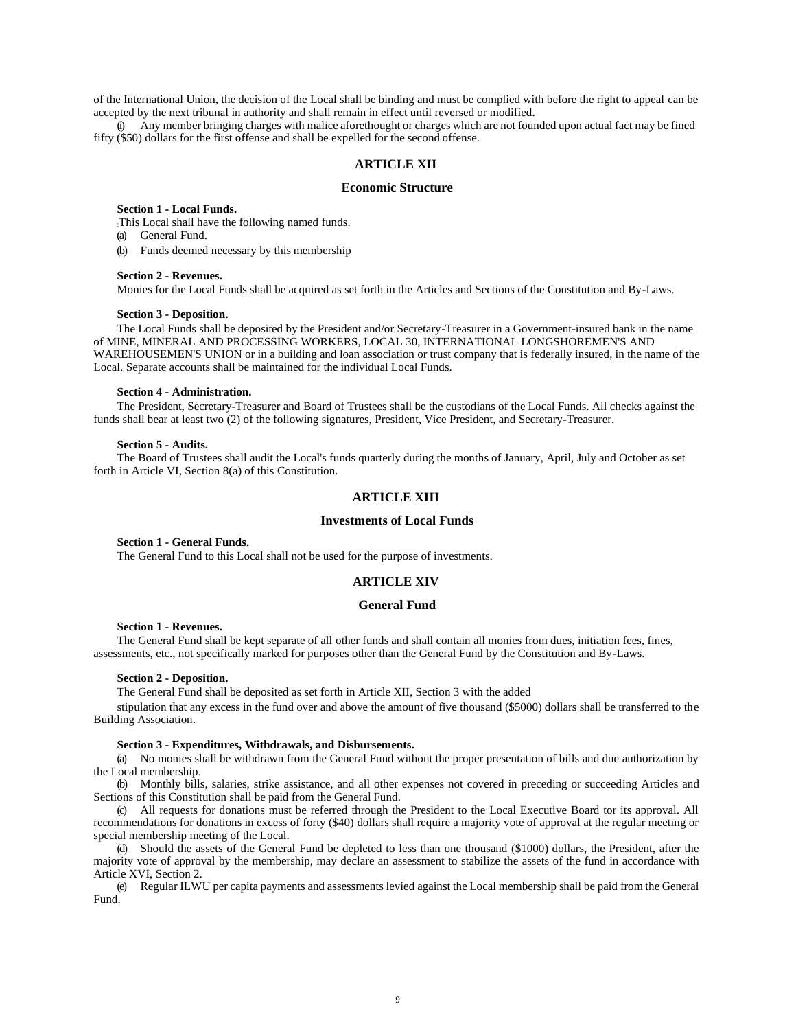of the International Union, the decision of the Local shall be binding and must be complied with before the right to appeal can be accepted by the next tribunal in authority and shall remain in effect until reversed or modified.

(i) Any member bringing charges with malice aforethought or charges which are not founded upon actual fact may be fined fifty (\$50) dollars for the first offense and shall be expelled for the second offense.

# **ARTICLE XII**

### **Economic Structure**

#### **Section 1 - Local Funds.**

This Local shall have the following named funds.

(a) General Fund.

(b) Funds deemed necessary by this membership

## **Section 2 - Revenues.**

Monies for the Local Funds shall be acquired as set forth in the Articles and Sections of the Constitution and By-Laws.

#### **Section 3 - Deposition.**

The Local Funds shall be deposited by the President and/or Secretary-Treasurer in a Government-insured bank in the name of MINE, MINERAL AND PROCESSING WORKERS, LOCAL 30, INTERNATIONAL LONGSHOREMEN'S AND WAREHOUSEMEN'S UNION or in a building and loan association or trust company that is federally insured, in the name of the Local. Separate accounts shall be maintained for the individual Local Funds.

## **Section 4 - Administration.**

The President, Secretary-Treasurer and Board of Trustees shall be the custodians of the Local Funds. All checks against the funds shall bear at least two (2) of the following signatures, President, Vice President, and Secretary-Treasurer.

#### **Section 5 - Audits.**

The Board of Trustees shall audit the Local's funds quarterly during the months of January, April, July and October as set forth in Article VI, Section 8(a) of this Constitution.

# **ARTICLE XIII**

#### **Investments of Local Funds**

## **Section 1 - General Funds.**

The General Fund to this Local shall not be used for the purpose of investments.

# **ARTICLE XIV**

## **General Fund**

#### **Section 1 - Revenues.**

The General Fund shall be kept separate of all other funds and shall contain all monies from dues, initiation fees, fines, assessments, etc., not specifically marked for purposes other than the General Fund by the Constitution and By-Laws.

#### **Section 2 - Deposition.**

The General Fund shall be deposited as set forth in Article XII, Section 3 with the added

stipulation that any excess in the fund over and above the amount of five thousand (\$5000) dollars shall be transferred to the Building Association.

#### **Section 3 - Expenditures, Withdrawals, and Disbursements.**

(a) No monies shall be withdrawn from the General Fund without the proper presentation of bills and due authorization by the Local membership.

(b) Monthly bills, salaries, strike assistance, and all other expenses not covered in preceding or succeeding Articles and Sections of this Constitution shall be paid from the General Fund.

(c) All requests for donations must be referred through the President to the Local Executive Board tor its approval. All recommendations for donations in excess of forty (\$40) dollars shall require a majority vote of approval at the regular meeting or special membership meeting of the Local.

(d) Should the assets of the General Fund be depleted to less than one thousand (\$1000) dollars, the President, after the majority vote of approval by the membership, may declare an assessment to stabilize the assets of the fund in accordance with Article XVI, Section 2.

(e) Regular ILWU per capita payments and assessments levied against the Local membership shall be paid from the General Fund.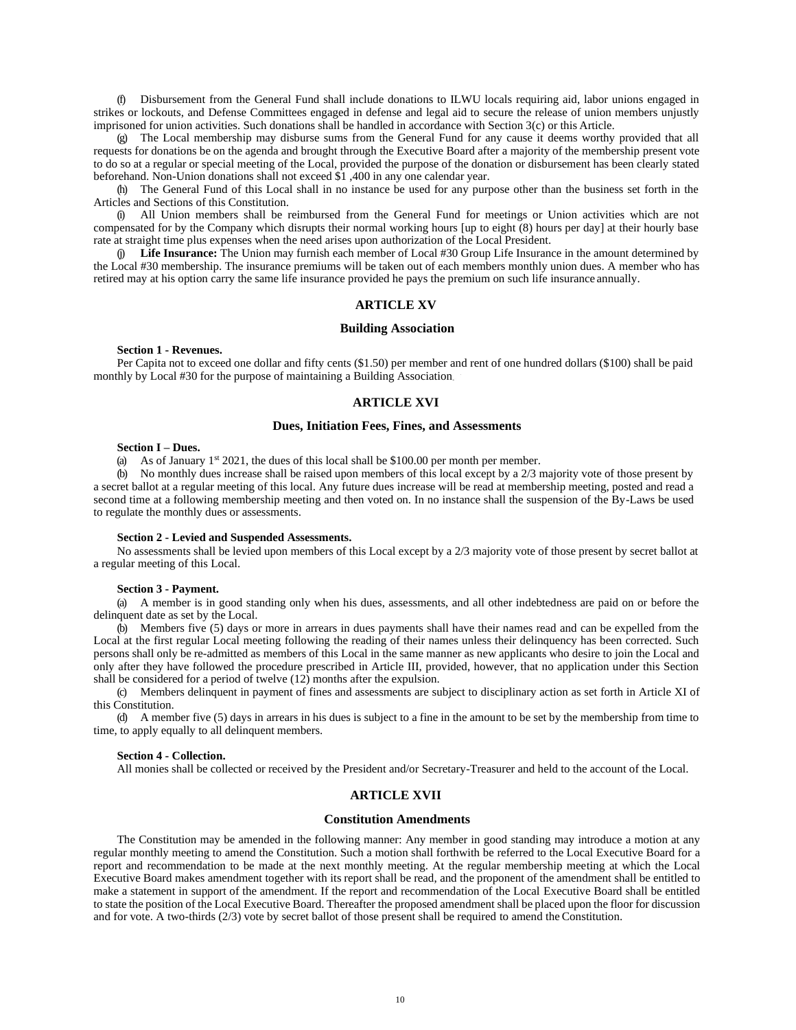(f) Disbursement from the General Fund shall include donations to ILWU locals requiring aid, labor unions engaged in strikes or lockouts, and Defense Committees engaged in defense and legal aid to secure the release of union members unjustly imprisoned for union activities. Such donations shall be handled in accordance with Section 3(c) or this Article.

(g) The Local membership may disburse sums from the General Fund for any cause it deems worthy provided that all requests for donations be on the agenda and brought through the Executive Board after a majority of the membership present vote to do so at a regular or special meeting of the Local, provided the purpose of the donation or disbursement has been clearly stated beforehand. Non-Union donations shall not exceed \$1 ,400 in any one calendar year.

(h) The General Fund of this Local shall in no instance be used for any purpose other than the business set forth in the Articles and Sections of this Constitution.

(i) All Union members shall be reimbursed from the General Fund for meetings or Union activities which are not compensated for by the Company which disrupts their normal working hours [up to eight (8) hours per day] at their hourly base rate at straight time plus expenses when the need arises upon authorization of the Local President.

(j) **Life Insurance:** The Union may furnish each member of Local #30 Group Life Insurance in the amount determined by the Local #30 membership. The insurance premiums will be taken out of each members monthly union dues. A member who has retired may at his option carry the same life insurance provided he pays the premium on such life insurance annually.

## **ARTICLE XV**

#### **Building Association**

**Section 1 - Revenues.**

Per Capita not to exceed one dollar and fifty cents (\$1.50) per member and rent of one hundred dollars (\$100) shall be paid monthly by Local #30 for the purpose of maintaining a Building Association

## **ARTICLE XVI**

#### **Dues, Initiation Fees, Fines, and Assessments**

#### **Section I – Dues.**

(a) As of January  $1^{st}$  2021, the dues of this local shall be \$100.00 per month per member.

(b) No monthly dues increase shall be raised upon members of this local except by a 2/3 majority vote of those present by a secret ballot at a regular meeting of this local. Any future dues increase will be read at membership meeting, posted and read a second time at a following membership meeting and then voted on. In no instance shall the suspension of the By-Laws be used to regulate the monthly dues or assessments.

#### **Section 2 - Levied and Suspended Assessments.**

No assessments shall be levied upon members of this Local except by a 2/3 majority vote of those present by secret ballot at a regular meeting of this Local.

#### **Section 3 - Payment.**

(a) A member is in good standing only when his dues, assessments, and all other indebtedness are paid on or before the delinquent date as set by the Local.

(b) Members five (5) days or more in arrears in dues payments shall have their names read and can be expelled from the Local at the first regular Local meeting following the reading of their names unless their delinquency has been corrected. Such persons shall only be re-admitted as members of this Local in the same manner as new applicants who desire to join the Local and only after they have followed the procedure prescribed in Article III, provided, however, that no application under this Section shall be considered for a period of twelve (12) months after the expulsion.

(c) Members delinquent in payment of fines and assessments are subject to disciplinary action as set forth in Article XI of this Constitution.

(d) A member five (5) days in arrears in his dues is subject to a fine in the amount to be set by the membership from time to time, to apply equally to all delinquent members.

#### **Section 4 - Collection.**

All monies shall be collected or received by the President and/or Secretary-Treasurer and held to the account of the Local.

## **ARTICLE XVII**

#### **Constitution Amendments**

The Constitution may be amended in the following manner: Any member in good standing may introduce a motion at any regular monthly meeting to amend the Constitution. Such a motion shall forthwith be referred to the Local Executive Board for a report and recommendation to be made at the next monthly meeting. At the regular membership meeting at which the Local Executive Board makes amendment together with its report shall be read, and the proponent of the amendment shall be entitled to make a statement in support of the amendment. If the report and recommendation of the Local Executive Board shall be entitled to state the position of the Local Executive Board. Thereafter the proposed amendment shall be placed upon the floor for discussion and for vote. A two-thirds (2/3) vote by secret ballot of those present shall be required to amend theConstitution.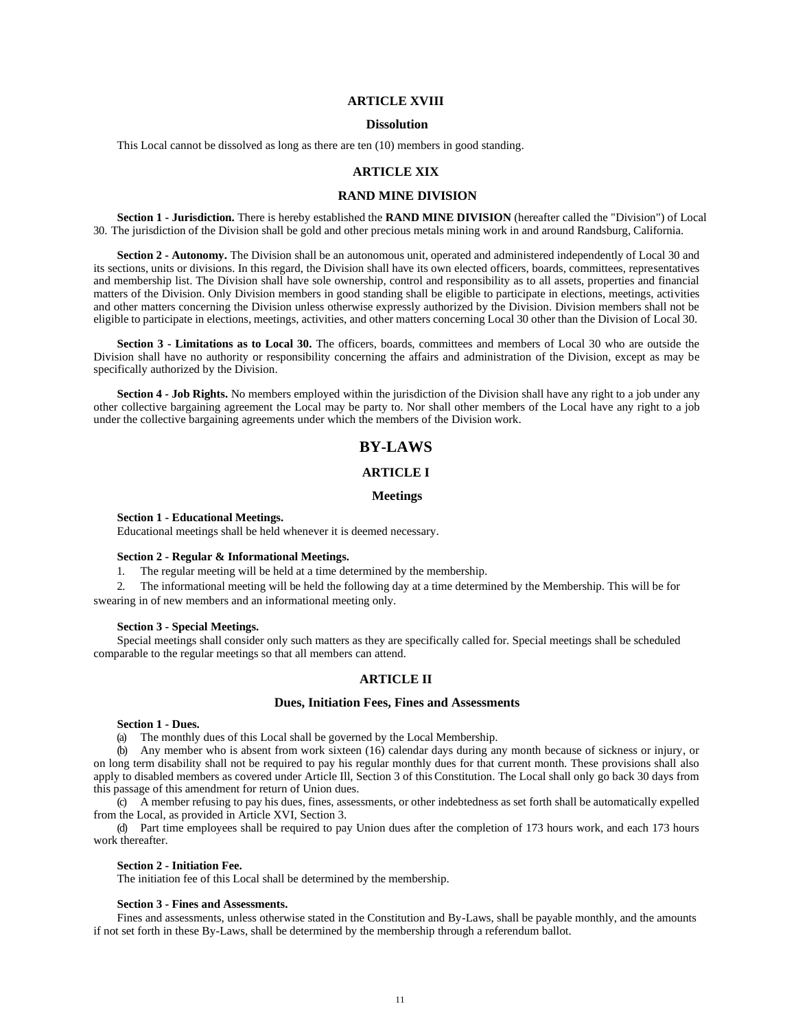# **ARTICLE XVIII**

### **Dissolution**

This Local cannot be dissolved as long as there are ten (10) members in good standing.

# **ARTICLE XIX**

## **RAND MINE DIVISION**

**Section 1 - Jurisdiction.** There is hereby established the **RAND MINE DIVISION** (hereafter called the "Division") of Local 30. The jurisdiction of the Division shall be gold and other precious metals mining work in and around Randsburg, California.

**Section 2 - Autonomy.** The Division shall be an autonomous unit, operated and administered independently of Local 30 and its sections, units or divisions. In this regard, the Division shall have its own elected officers, boards, committees, representatives and membership list. The Division shall have sole ownership, control and responsibility as to all assets, properties and financial matters of the Division. Only Division members in good standing shall be eligible to participate in elections, meetings, activities and other matters concerning the Division unless otherwise expressly authorized by the Division. Division members shall not be eligible to participate in elections, meetings, activities, and other matters concerning Local 30 other than the Division of Local 30.

**Section 3 - Limitations as to Local 30.** The officers, boards, committees and members of Local 30 who are outside the Division shall have no authority or responsibility concerning the affairs and administration of the Division, except as may be specifically authorized by the Division.

**Section 4 - Job Rights.** No members employed within the jurisdiction of the Division shall have any right to a job under any other collective bargaining agreement the Local may be party to. Nor shall other members of the Local have any right to a job under the collective bargaining agreements under which the members of the Division work.

# **BY-LAWS**

# **ARTICLE I**

## **Meetings**

## **Section 1 - Educational Meetings.**

Educational meetings shall be held whenever it is deemed necessary.

## **Section 2 - Regular & Informational Meetings.**

1. The regular meeting will be held at a time determined by the membership.

2. The informational meeting will be held the following day at a time determined by the Membership. This will be for swearing in of new members and an informational meeting only.

#### **Section 3 - Special Meetings.**

Special meetings shall consider only such matters as they are specifically called for. Special meetings shall be scheduled comparable to the regular meetings so that all members can attend.

## **ARTICLE II**

#### **Dues, Initiation Fees, Fines and Assessments**

## **Section 1 - Dues.**

(a) The monthly dues of this Local shall be governed by the Local Membership.

(b) Any member who is absent from work sixteen (16) calendar days during any month because of sickness or injury, or on long term disability shall not be required to pay his regular monthly dues for that current month. These provisions shall also apply to disabled members as covered under Article Ill, Section 3 of thisConstitution. The Local shall only go back 30 days from this passage of this amendment for return of Union dues.

(c) A member refusing to pay his dues, fines, assessments, or other indebtedness as set forth shall be automatically expelled from the Local, as provided in Article XVI, Section 3.

(d) Part time employees shall be required to pay Union dues after the completion of 173 hours work, and each 173 hours work thereafter.

### **Section 2 - Initiation Fee.**

The initiation fee of this Local shall be determined by the membership.

#### **Section 3 - Fines and Assessments.**

Fines and assessments, unless otherwise stated in the Constitution and By-Laws, shall be payable monthly, and the amounts if not set forth in these By-Laws, shall be determined by the membership through a referendum ballot.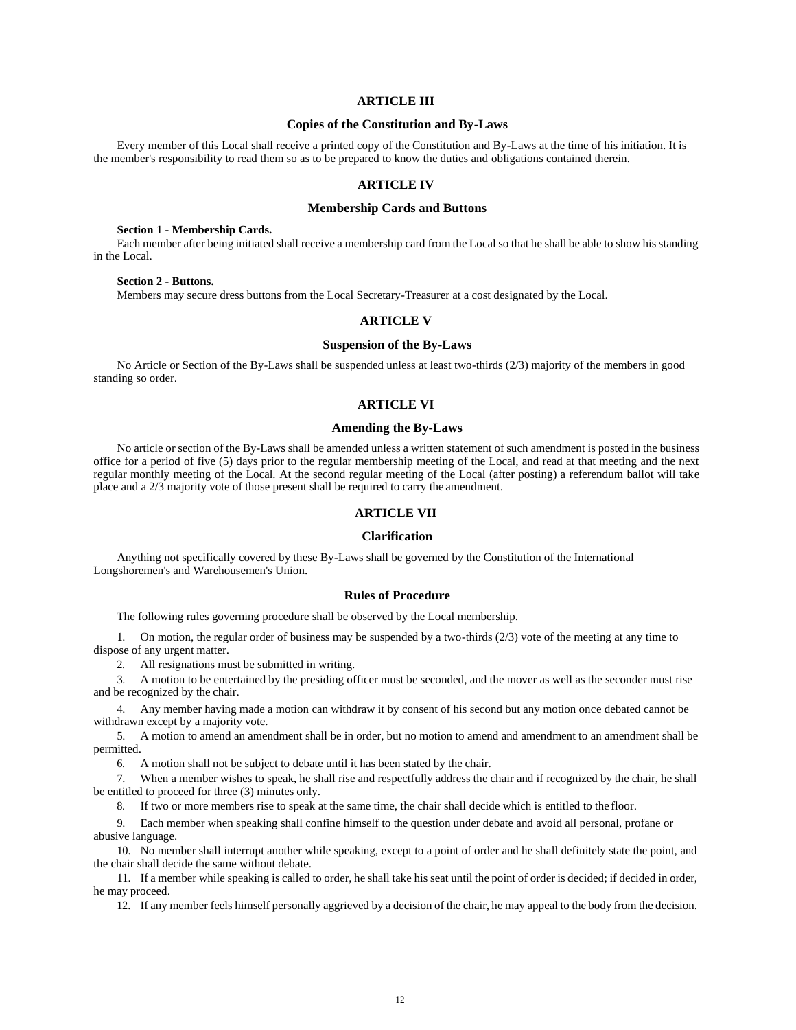# **ARTICLE III**

## **Copies of the Constitution and By-Laws**

Every member of this Local shall receive a printed copy of the Constitution and By-Laws at the time of his initiation. It is the member's responsibility to read them so as to be prepared to know the duties and obligations contained therein.

## **ARTICLE IV**

## **Membership Cards and Buttons**

## **Section 1 - Membership Cards.**

Each member after being initiated shall receive a membership card from the Local so that he shall be able to show his standing in the Local.

#### **Section 2 - Buttons.**

Members may secure dress buttons from the Local Secretary-Treasurer at a cost designated by the Local.

# **ARTICLE V**

# **Suspension of the By-Laws**

No Article or Section of the By-Laws shall be suspended unless at least two-thirds (2/3) majority of the members in good standing so order.

## **ARTICLE VI**

## **Amending the By-Laws**

No article or section of the By-Laws shall be amended unless a written statement of such amendment is posted in the business office for a period of five (5) days prior to the regular membership meeting of the Local, and read at that meeting and the next regular monthly meeting of the Local. At the second regular meeting of the Local (after posting) a referendum ballot will take place and a 2/3 majority vote of those present shall be required to carry the amendment.

## **ARTICLE VII**

# **Clarification**

Anything not specifically covered by these By-Laws shall be governed by the Constitution of the International Longshoremen's and Warehousemen's Union.

## **Rules of Procedure**

The following rules governing procedure shall be observed by the Local membership.

1. On motion, the regular order of business may be suspended by a two-thirds (2/3) vote of the meeting at any time to dispose of any urgent matter.

2. All resignations must be submitted in writing.

3. A motion to be entertained by the presiding officer must be seconded, and the mover as well as the seconder must rise and be recognized by the chair.

4. Any member having made a motion can withdraw it by consent of his second but any motion once debated cannot be withdrawn except by a majority vote.

5. A motion to amend an amendment shall be in order, but no motion to amend and amendment to an amendment shall be permitted.

6. A motion shall not be subject to debate until it has been stated by the chair.

7. When a member wishes to speak, he shall rise and respectfully address the chair and if recognized by the chair, he shall be entitled to proceed for three (3) minutes only.

8. If two or more members rise to speak at the same time, the chair shall decide which is entitled to the floor.

9. Each member when speaking shall confine himself to the question under debate and avoid all personal, profane or abusive language.

10. No member shall interrupt another while speaking, except to a point of order and he shall definitely state the point, and the chair shall decide the same without debate.

11. If a member while speaking is called to order, he shall take his seat until the point of order is decided; if decided in order, he may proceed.

12. If any member feels himself personally aggrieved by a decision of the chair, he may appeal to the body from the decision.